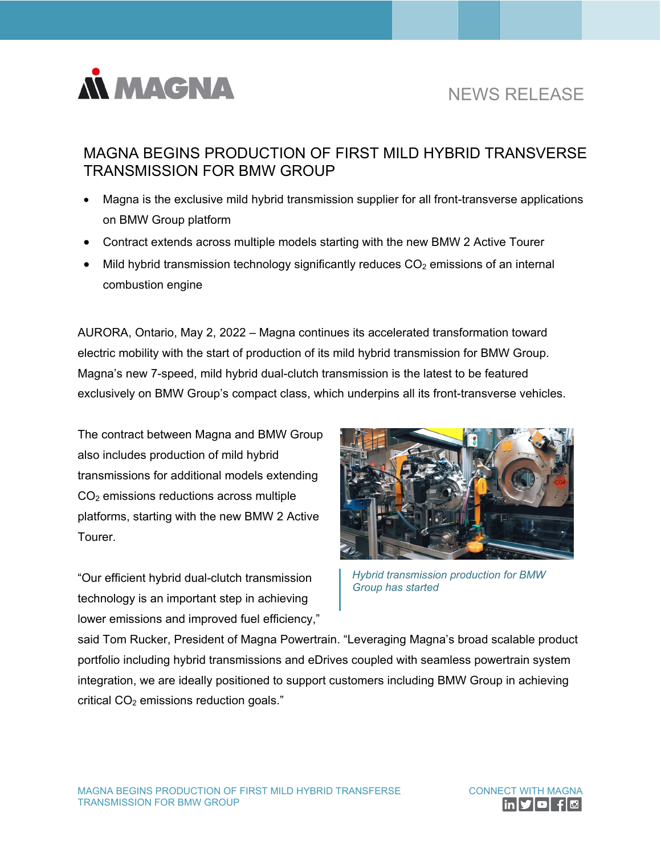

## NEWS RELEASE

## MAGNA BEGINS PRODUCTION OF FIRST MILD HYBRID TRANSVERSE TRANSMISSION FOR BMW GROUP

- Magna is the exclusive mild hybrid transmission supplier for all front-transverse applications on BMW Group platform
- Contract extends across multiple models starting with the new BMW 2 Active Tourer
- Mild hybrid transmission technology significantly reduces  $CO<sub>2</sub>$  emissions of an internal combustion engine

AURORA, Ontario, May 2, 2022 – Magna continues its accelerated transformation toward electric mobility with the start of production of its mild hybrid transmission for BMW Group. Magna's new 7-speed, mild hybrid dual-clutch transmission is the latest to be featured exclusively on BMW Group's compact class, which underpins all its front-transverse vehicles.

The contract between Magna and BMW Group also includes production of mild hybrid transmissions for additional models extending CO2 emissions reductions across multiple platforms, starting with the new BMW 2 Active Tourer.

"Our efficient hybrid dual-clutch transmission technology is an important step in achieving lower emissions and improved fuel efficiency,"



*Hybrid transmission production for BMW Group has started* 

said Tom Rucker, President of Magna Powertrain. "Leveraging Magna's broad scalable product portfolio including hybrid transmissions and eDrives coupled with seamless powertrain system integration, we are ideally positioned to support customers including BMW Group in achieving critical  $CO<sub>2</sub>$  emissions reduction goals."

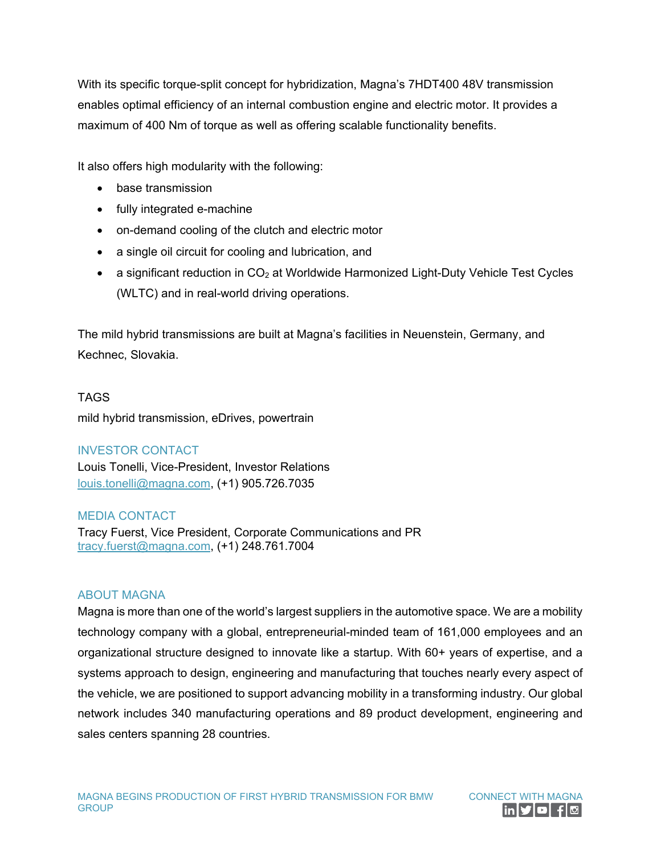With its specific torque-split concept for hybridization, Magna's 7HDT400 48V transmission enables optimal efficiency of an internal combustion engine and electric motor. It provides a maximum of 400 Nm of torque as well as offering scalable functionality benefits.

It also offers high modularity with the following:

- base transmission
- fully integrated e-machine
- on-demand cooling of the clutch and electric motor
- a single oil circuit for cooling and lubrication, and
- a significant reduction in  $CO<sub>2</sub>$  at Worldwide Harmonized Light-Duty Vehicle Test Cycles (WLTC) and in real-world driving operations.

The mild hybrid transmissions are built at Magna's facilities in Neuenstein, Germany, and Kechnec, Slovakia.

TAGS mild hybrid transmission, eDrives, powertrain

INVESTOR CONTACT

Louis Tonelli, Vice-President, Investor Relations [louis.tonelli@magna.com,](mailto:louis.tonelli@magna.com) (+1) 905.726.7035

MEDIA CONTACT

Tracy Fuerst, Vice President, Corporate Communications and PR [tracy.fuerst@magna.com,](mailto:tracy.fuerst@magna.com) (+1) 248.761.7004

## ABOUT MAGNA

Magna is more than one of the world's largest suppliers in the automotive space. We are a mobility technology company with a global, entrepreneurial-minded team of 161,000 employees and an organizational structure designed to innovate like a startup. With 60+ years of expertise, and a systems approach to design, engineering and manufacturing that touches nearly every aspect of the vehicle, we are positioned to support advancing mobility in a transforming industry. Our global network includes 340 manufacturing operations and 89 product development, engineering and sales centers spanning 28 countries.